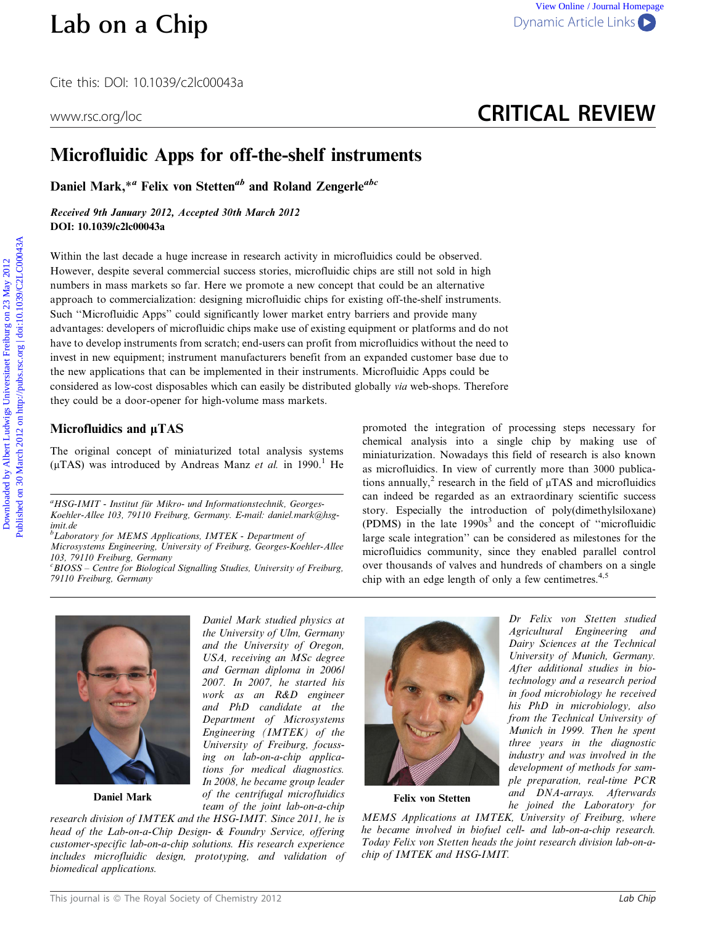# [Lab on a Chip](http://dx.doi.org/10.1039/c2lc00043a) [Dynamic Article Links](http://dx.doi.org/10.1039/c2lc00043a)

Cite this: DOI: 10.1039/c2lc00043a

## www.rsc.org/loc**allycerecall criticism criticism CRITICAL REVIEW**

### Microfluidic Apps for off-the-shelf instruments

Daniel Mark,\*<sup>a</sup> Felix von Stetten<sup>ab</sup> and Roland Zengerle<sup>abc</sup>

Received 9th January 2012, Accepted 30th March 2012 DOI: 10.1039/c2lc00043a

Within the last decade a huge increase in research activity in microfluidics could be observed. However, despite several commercial success stories, microfluidic chips are still not sold in high numbers in mass markets so far. Here we promote a new concept that could be an alternative approach to commercialization: designing microfluidic chips for existing off-the-shelf instruments. Such ''Microfluidic Apps'' could significantly lower market entry barriers and provide many advantages: developers of microfluidic chips make use of existing equipment or platforms and do not have to develop instruments from scratch; end-users can profit from microfluidics without the need to invest in new equipment; instrument manufacturers benefit from an expanded customer base due to the new applications that can be implemented in their instruments. Microfluidic Apps could be considered as low-cost disposables which can easily be distributed globally via web-shops. Therefore they could be a door-opener for high-volume mass markets. **Lab on a Chip**<br>
Unyamic Article Links DCk 10.1039/c2lc00043a<br>
www.ysc.org/loc<br>
Microfluidic Apps for off-the-shelf instruments<br>
Daniel Mark,<sup>29</sup> Felix von Stetten<sup>49</sup> and Roland Zengerle<sup>nk</sup><br>
Received 8th January 2012, A

#### Microfluidics and  $\mu$ TAS

The original concept of miniaturized total analysis systems ( $\mu$ TAS) was introduced by Andreas Manz et al. in 1990.<sup>1</sup> He

<sup>b</sup>Laboratory for MEMS Applications, IMTEK - Department of Microsystems Engineering, University of Freiburg, Georges-Koehler-Allee 103, 79110 Freiburg, Germany

<sup>c</sup>BIOSS - Centre for Biological Signalling Studies, University of Freiburg, 79110 Freiburg, Germany

promoted the integration of processing steps necessary for chemical analysis into a single chip by making use of miniaturization. Nowadays this field of research is also known as microfluidics. In view of currently more than 3000 publications annually,<sup>2</sup> research in the field of  $\mu$ TAS and microfluidics can indeed be regarded as an extraordinary scientific success story. Especially the introduction of poly(dimethylsiloxane) (PDMS) in the late  $1990s<sup>3</sup>$  and the concept of "microfluidic large scale integration'' can be considered as milestones for the microfluidics community, since they enabled parallel control over thousands of valves and hundreds of chambers on a single chip with an edge length of only a few centimetres.<sup>4,5</sup>

> Dr Felix von Stetten studied Agricultural Engineering and Dairy Sciences at the Technical University of Munich, Germany. After additional studies in biotechnology and a research period in food microbiology he received his PhD in microbiology, also from the Technical University of Munich in 1999. Then he spent three years in the diagnostic industry and was involved in the development of methods for sample preparation, real-time PCR and DNA-arrays. Afterwards



Daniel Mark studied physics at the University of Ulm, Germany and the University of Oregon, USA, receiving an MSc degree and German diploma in 2006/ 2007. In 2007, he started his work as an R&D engineer and PhD candidate at the Department of Microsystems Engineering (IMTEK) of the University of Freiburg, focussing on lab-on-a-chip applications for medical diagnostics. In 2008, he became group leader **Daniel Mark** *of the centrifugal microfluidics* **Felix von Stetten** team of the joint lab-on-a-chip

research division of IMTEK and the HSG-IMIT. Since 2011, he is head of the Lab-on-a-Chip Design- & Foundry Service, offering customer-specific lab-on-a-chip solutions. His research experience includes microfluidic design, prototyping, and validation of biomedical applications.



he joined the Laboratory for MEMS Applications at IMTEK, University of Freiburg, where he became involved in biofuel cell- and lab-on-a-chip research. Today Felix von Stetten heads the joint research division lab-on-achip of IMTEK and HSG-IMIT.

This journal is - The Royal Society of Chemistry 2012 Lab Chip

<sup>&</sup>lt;sup>a</sup>HSG-IMIT - Institut für Mikro- und Informationstechnik, Georges-Koehler-Allee 103, 79110 Freiburg, Germany. E-mail: daniel.mark@hsgimit.de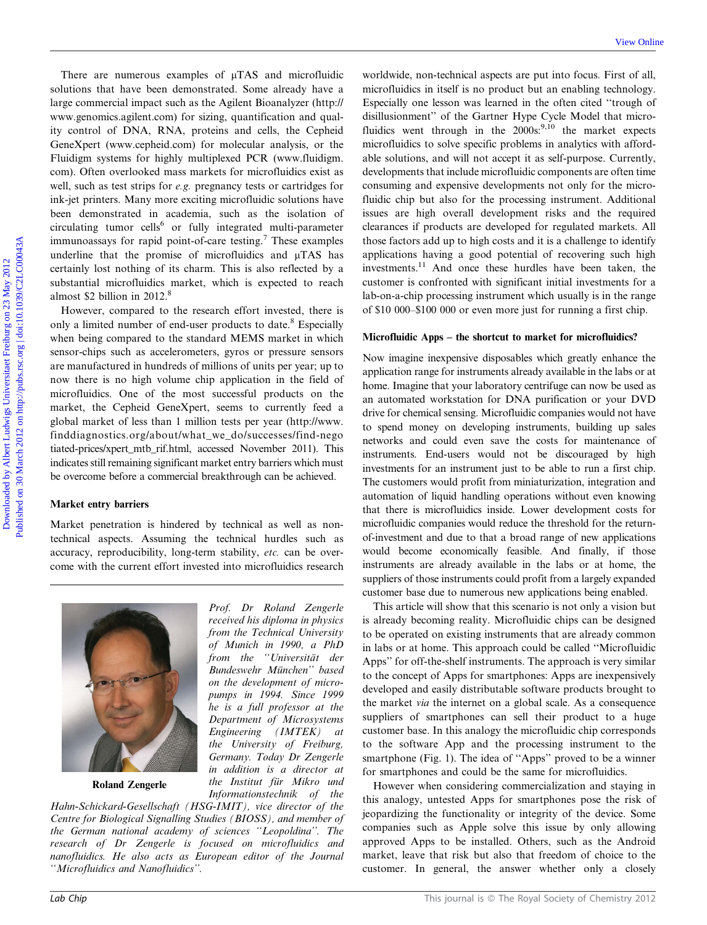There are numerous examples of  $\mu$ TAS and microfluidic solutions that have been demonstrated. Some already have a large commercial impact such as the Agilent Bioanalyzer (http:// www.genomics.agilent.com) for sizing, quantification and quality control of DNA, RNA, proteins and cells, the Cepheid GeneXpert (www.cepheid.com) for molecular analysis, or the Fluidigm systems for highly multiplexed PCR (www.fluidigm. com). Often overlooked mass markets for microfluidics exist as well, such as test strips for e.g. pregnancy tests or cartridges for ink-jet printers. Many more exciting microfluidic solutions have been demonstrated in academia, such as the isolation of circulating tumor cells<sup>6</sup> or fully integrated multi-parameter immunoassays for rapid point-of-care testing.<sup>7</sup> These examples underline that the promise of microfluidics and  $\mu$ TAS has certainly lost nothing of its charm. This is also reflected by a substantial microfluidics market, which is expected to reach almost \$2 billion in 2012.<sup>8</sup>

However, compared to the research effort invested, there is only a limited number of end-user products to date.<sup>8</sup> Especially when being compared to the standard MEMS market in which sensor-chips such as accelerometers, gyros or pressure sensors are manufactured in hundreds of millions of units per year; up to now there is no high volume chip application in the field of microfluidics. One of the most successful products on the market, the Cepheid GeneXpert, seems to currently feed a global market of less than 1 million tests per year (http://www. finddiagnostics.org/about/what\_we\_do/successes/find-nego tiated-prices/xpert\_mtb\_rif.html, accessed November 2011). This indicates still remaining significant market entry barriers which must be overcome before a commercial breakthrough can be achieved.

#### Market entry barriers

Market penetration is hindered by technical as well as nontechnical aspects. Assuming the technical hurdles such as accuracy, reproducibility, long-term stability, etc. can be overcome with the current effort invested into microfluidics research



Roland Zengerle

Prof. Dr Roland Zengerle received his diploma in physics from the Technical University of Munich in 1990, a PhD from the "Universität der Bundeswehr München" based on the development of micropumps in 1994. Since 1999 he is a full professor at the Department of Microsystems Engineering (IMTEK) at the University of Freiburg, Germany. Today Dr Zengerle in addition is a director at the Institut für Mikro und Informationstechnik of the

Hahn-Schickard-Gesellschaft (HSG-IMIT), vice director of the Centre for Biological Signalling Studies (BIOSS), and member of the German national academy of sciences ''Leopoldina''. The research of Dr Zengerle is focused on microfluidics and nanofluidics. He also acts as European editor of the Journal ''Microfluidics and Nanofluidics''.

worldwide, non-technical aspects are put into focus. First of all, microfluidics in itself is no product but an enabling technology. Especially one lesson was learned in the often cited ''trough of disillusionment'' of the Gartner Hype Cycle Model that microfluidics went through in the  $2000s$ :<sup>9,10</sup> the market expects microfluidics to solve specific problems in analytics with affordable solutions, and will not accept it as self-purpose. Currently, developments that include microfluidic components are often time consuming and expensive developments not only for the microfluidic chip but also for the processing instrument. Additional issues are high overall development risks and the required clearances if products are developed for regulated markets. All those factors add up to high costs and it is a challenge to identify applications having a good potential of recovering such high investments.11 And once these hurdles have been taken, the customer is confronted with significant initial investments for a lab-on-a-chip processing instrument which usually is in the range of \$10 000–\$100 000 or even more just for running a first chip. There are numerous examples of pTAS and microfluids wordboids non-deductation spectra of all solutions that he beam controlling the controlling technology<br>
Lucy spectra of all solutions and the Aglicat Bicanolyze (011pH).

#### Microfluidic Apps – the shortcut to market for microfluidics?

Now imagine inexpensive disposables which greatly enhance the application range for instruments already available in the labs or at home. Imagine that your laboratory centrifuge can now be used as an automated workstation for DNA purification or your DVD drive for chemical sensing. Microfluidic companies would not have to spend money on developing instruments, building up sales networks and could even save the costs for maintenance of instruments. End-users would not be discouraged by high investments for an instrument just to be able to run a first chip. The customers would profit from miniaturization, integration and automation of liquid handling operations without even knowing that there is microfluidics inside. Lower development costs for microfluidic companies would reduce the threshold for the returnof-investment and due to that a broad range of new applications would become economically feasible. And finally, if those instruments are already available in the labs or at home, the suppliers of those instruments could profit from a largely expanded customer base due to numerous new applications being enabled.

This article will show that this scenario is not only a vision but is already becoming reality. Microfluidic chips can be designed to be operated on existing instruments that are already common in labs or at home. This approach could be called ''Microfluidic Apps'' for off-the-shelf instruments. The approach is very similar to the concept of Apps for smartphones: Apps are inexpensively developed and easily distributable software products brought to the market via the internet on a global scale. As a consequence suppliers of smartphones can sell their product to a huge customer base. In this analogy the microfluidic chip corresponds to the software App and the processing instrument to the smartphone (Fig. 1). The idea of ''Apps'' proved to be a winner for smartphones and could be the same for microfluidics.

However when considering commercialization and staying in this analogy, untested Apps for smartphones pose the risk of jeopardizing the functionality or integrity of the device. Some companies such as Apple solve this issue by only allowing approved Apps to be installed. Others, such as the Android market, leave that risk but also that freedom of choice to the customer. In general, the answer whether only a closely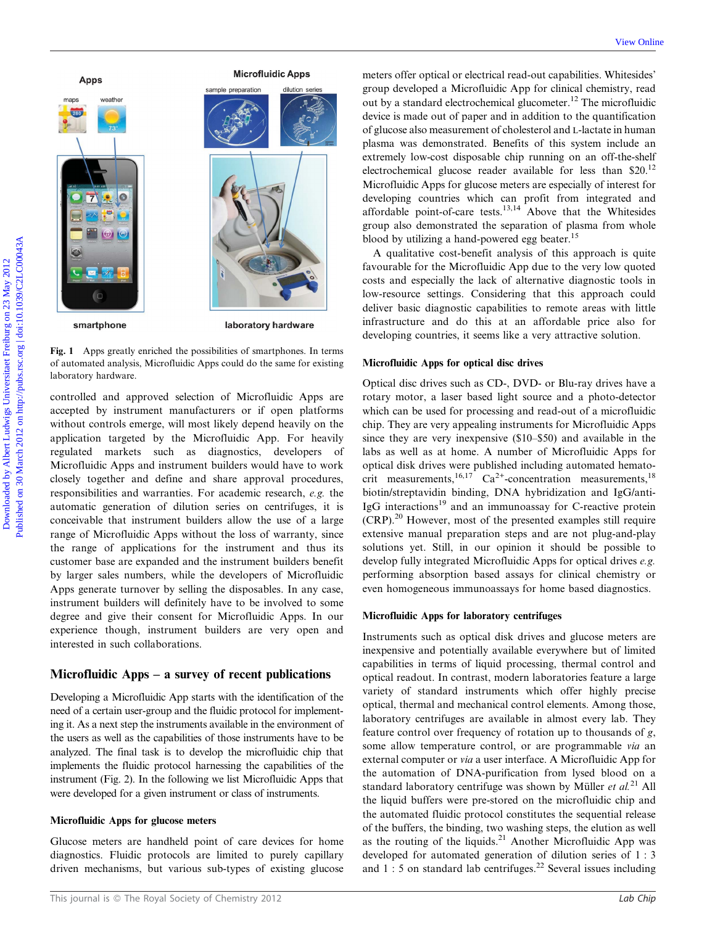

Fig. 1 Apps greatly enriched the possibilities of smartphones. In terms of automated analysis, Microfluidic Apps could do the same for existing laboratory hardware.

controlled and approved selection of Microfluidic Apps are accepted by instrument manufacturers or if open platforms without controls emerge, will most likely depend heavily on the application targeted by the Microfluidic App. For heavily regulated markets such as diagnostics, developers of Microfluidic Apps and instrument builders would have to work closely together and define and share approval procedures, responsibilities and warranties. For academic research, e.g. the automatic generation of dilution series on centrifuges, it is conceivable that instrument builders allow the use of a large range of Microfluidic Apps without the loss of warranty, since the range of applications for the instrument and thus its customer base are expanded and the instrument builders benefit by larger sales numbers, while the developers of Microfluidic Apps generate turnover by selling the disposables. In any case, instrument builders will definitely have to be involved to some degree and give their consent for Microfluidic Apps. In our experience though, instrument builders are very open and interested in such collaborations.

#### Microfluidic Apps – a survey of recent publications

Developing a Microfluidic App starts with the identification of the need of a certain user-group and the fluidic protocol for implementing it. As a next step the instruments available in the environment of the users as well as the capabilities of those instruments have to be analyzed. The final task is to develop the microfluidic chip that implements the fluidic protocol harnessing the capabilities of the instrument (Fig. 2). In the following we list Microfluidic Apps that were developed for a given instrument or class of instruments.

#### Microfluidic Apps for glucose meters

Glucose meters are handheld point of care devices for home diagnostics. Fluidic protocols are limited to purely capillary driven mechanisms, but various sub-types of existing glucose meters offer optical or electrical read-out capabilities. Whitesides' group developed a Microfluidic App for clinical chemistry, read out by a standard electrochemical glucometer.12 The microfluidic device is made out of paper and in addition to the quantification of glucose also measurement of cholesterol and L-lactate in human plasma was demonstrated. Benefits of this system include an extremely low-cost disposable chip running on an off-the-shelf electrochemical glucose reader available for less than \$20.<sup>12</sup> Microfluidic Apps for glucose meters are especially of interest for developing countries which can profit from integrated and affordable point-of-care tests.13,14 Above that the Whitesides group also demonstrated the separation of plasma from whole blood by utilizing a hand-powered egg beater.<sup>15</sup>

A qualitative cost-benefit analysis of this approach is quite favourable for the Microfluidic App due to the very low quoted costs and especially the lack of alternative diagnostic tools in low-resource settings. Considering that this approach could deliver basic diagnostic capabilities to remote areas with little infrastructure and do this at an affordable price also for developing countries, it seems like a very attractive solution.

#### Microfluidic Apps for optical disc drives

Optical disc drives such as CD-, DVD- or Blu-ray drives have a rotary motor, a laser based light source and a photo-detector which can be used for processing and read-out of a microfluidic chip. They are very appealing instruments for Microfluidic Apps since they are very inexpensive (\$10–\$50) and available in the labs as well as at home. A number of Microfluidic Apps for optical disk drives were published including automated hematocrit measurements,<sup>16,17</sup> Ca<sup>2+</sup>-concentration measurements,<sup>18</sup> biotin/streptavidin binding, DNA hybridization and IgG/anti-IgG interactions<sup>19</sup> and an immunoassay for C-reactive protein  $(CRP)$ <sup>20</sup> However, most of the presented examples still require extensive manual preparation steps and are not plug-and-play solutions yet. Still, in our opinion it should be possible to develop fully integrated Microfluidic Apps for optical drives e.g. performing absorption based assays for clinical chemistry or even homogeneous immunoassays for home based diagnostics.

#### Microfluidic Apps for laboratory centrifuges

Instruments such as optical disk drives and glucose meters are inexpensive and potentially available everywhere but of limited capabilities in terms of liquid processing, thermal control and optical readout. In contrast, modern laboratories feature a large variety of standard instruments which offer highly precise optical, thermal and mechanical control elements. Among those, laboratory centrifuges are available in almost every lab. They feature control over frequency of rotation up to thousands of g, some allow temperature control, or are programmable via an external computer or via a user interface. A Microfluidic App for the automation of DNA-purification from lysed blood on a standard laboratory centrifuge was shown by Müller *et al.*<sup>21</sup> All the liquid buffers were pre-stored on the microfluidic chip and the automated fluidic protocol constitutes the sequential release of the buffers, the binding, two washing steps, the elution as well as the routing of the liquids. $2<sup>1</sup>$  Another Microfluidic App was developed for automated generation of dilution series of 1 : 3 and  $1:5$  on standard lab centrifuges.<sup>22</sup> Several issues including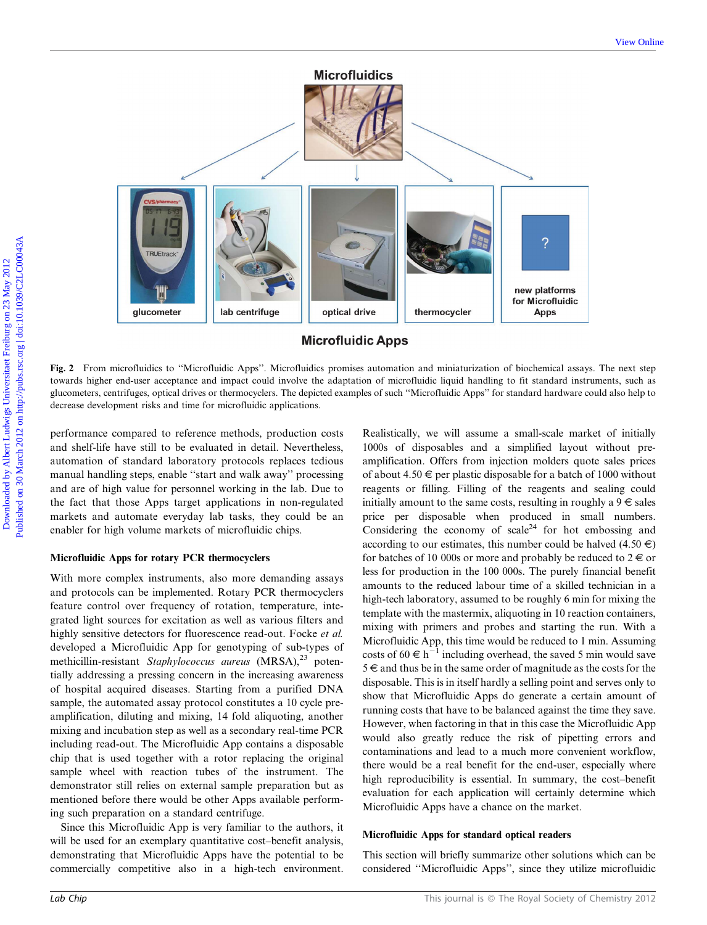

Fig. 2 From microfluidics to ''Microfluidic Apps''. Microfluidics promises automation and miniaturization of biochemical assays. The next step towards higher end-user acceptance and impact could involve the adaptation of microfluidic liquid handling to fit standard instruments, such as glucometers, centrifuges, optical drives or thermocyclers. The depicted examples of such ''Microfluidic Apps'' for standard hardware could also help to decrease development risks and time for microfluidic applications.

performance compared to reference methods, production costs and shelf-life have still to be evaluated in detail. Nevertheless, automation of standard laboratory protocols replaces tedious manual handling steps, enable ''start and walk away'' processing and are of high value for personnel working in the lab. Due to the fact that those Apps target applications in non-regulated markets and automate everyday lab tasks, they could be an enabler for high volume markets of microfluidic chips.

#### Microfluidic Apps for rotary PCR thermocyclers

With more complex instruments, also more demanding assays and protocols can be implemented. Rotary PCR thermocyclers feature control over frequency of rotation, temperature, integrated light sources for excitation as well as various filters and highly sensitive detectors for fluorescence read-out. Focke et al. developed a Microfluidic App for genotyping of sub-types of methicillin-resistant Staphylococcus aureus (MRSA),<sup>23</sup> potentially addressing a pressing concern in the increasing awareness of hospital acquired diseases. Starting from a purified DNA sample, the automated assay protocol constitutes a 10 cycle preamplification, diluting and mixing, 14 fold aliquoting, another mixing and incubation step as well as a secondary real-time PCR including read-out. The Microfluidic App contains a disposable chip that is used together with a rotor replacing the original sample wheel with reaction tubes of the instrument. The demonstrator still relies on external sample preparation but as mentioned before there would be other Apps available performing such preparation on a standard centrifuge.

Since this Microfluidic App is very familiar to the authors, it will be used for an exemplary quantitative cost–benefit analysis, demonstrating that Microfluidic Apps have the potential to be commercially competitive also in a high-tech environment.

Realistically, we will assume a small-scale market of initially 1000s of disposables and a simplified layout without preamplification. Offers from injection molders quote sales prices of about  $4.50 \in$  per plastic disposable for a batch of 1000 without reagents or filling. Filling of the reagents and sealing could initially amount to the same costs, resulting in roughly a  $9 \in$  sales price per disposable when produced in small numbers. Considering the economy of scale<sup>24</sup> for hot embossing and according to our estimates, this number could be halved  $(4.50 \in)$ for batches of 10 000s or more and probably be reduced to  $2 \in \text{or}$ less for production in the 100 000s. The purely financial benefit amounts to the reduced labour time of a skilled technician in a high-tech laboratory, assumed to be roughly 6 min for mixing the template with the mastermix, aliquoting in 10 reaction containers, mixing with primers and probes and starting the run. With a Microfluidic App, this time would be reduced to 1 min. Assuming costs of 60  $\in$  h<sup>-1</sup> including overhead, the saved 5 min would save  $5 \in \mathcal{A}$  and thus be in the same order of magnitude as the costs for the disposable. This is in itself hardly a selling point and serves only to show that Microfluidic Apps do generate a certain amount of running costs that have to be balanced against the time they save. However, when factoring in that in this case the Microfluidic App would also greatly reduce the risk of pipetting errors and contaminations and lead to a much more convenient workflow, there would be a real benefit for the end-user, especially where high reproducibility is essential. In summary, the cost–benefit evaluation for each application will certainly determine which Microfluidic Apps have a chance on the market.

#### Microfluidic Apps for standard optical readers

This section will briefly summarize other solutions which can be considered ''Microfluidic Apps'', since they utilize microfluidic